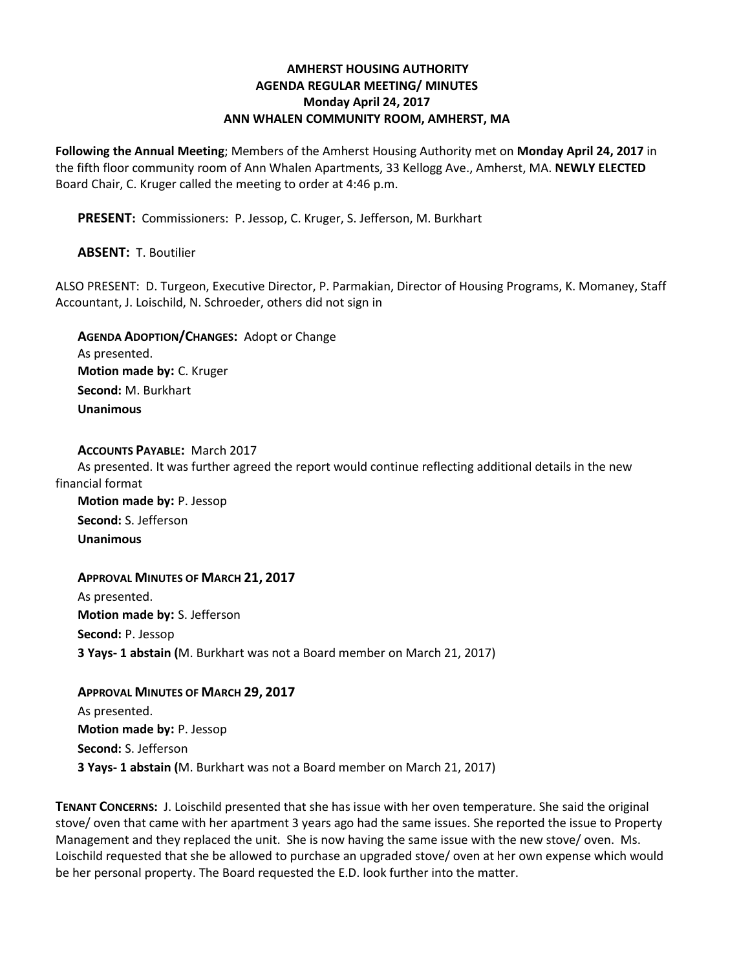## **AMHERST HOUSING AUTHORITY AGENDA REGULAR MEETING/ MINUTES Monday April 24, 2017 ANN WHALEN COMMUNITY ROOM, AMHERST, MA**

**Following the Annual Meeting**; Members of the Amherst Housing Authority met on **Monday April 24, 2017** in the fifth floor community room of Ann Whalen Apartments, 33 Kellogg Ave., Amherst, MA. **NEWLY ELECTED** Board Chair, C. Kruger called the meeting to order at 4:46 p.m.

**PRESENT:** Commissioners: P. Jessop, C. Kruger, S. Jefferson, M. Burkhart

**ABSENT:** T. Boutilier

ALSO PRESENT: D. Turgeon, Executive Director, P. Parmakian, Director of Housing Programs, K. Momaney, Staff Accountant, J. Loischild, N. Schroeder, others did not sign in

**AGENDA ADOPTION/CHANGES:** Adopt or Change As presented. **Motion made by:** C. Kruger **Second:** M. Burkhart **Unanimous**

**ACCOUNTS PAYABLE:** March 2017 As presented. It was further agreed the report would continue reflecting additional details in the new financial format

**Motion made by:** P. Jessop **Second:** S. Jefferson **Unanimous**

**APPROVAL MINUTES OF MARCH 21, 2017** As presented. **Motion made by:** S. Jefferson **Second:** P. Jessop **3 Yays- 1 abstain (**M. Burkhart was not a Board member on March 21, 2017)

**APPROVAL MINUTES OF MARCH 29, 2017** As presented. **Motion made by:** P. Jessop **Second:** S. Jefferson **3 Yays- 1 abstain (**M. Burkhart was not a Board member on March 21, 2017)

**TENANT CONCERNS:** J. Loischild presented that she has issue with her oven temperature. She said the original stove/ oven that came with her apartment 3 years ago had the same issues. She reported the issue to Property Management and they replaced the unit. She is now having the same issue with the new stove/ oven. Ms. Loischild requested that she be allowed to purchase an upgraded stove/ oven at her own expense which would be her personal property. The Board requested the E.D. look further into the matter.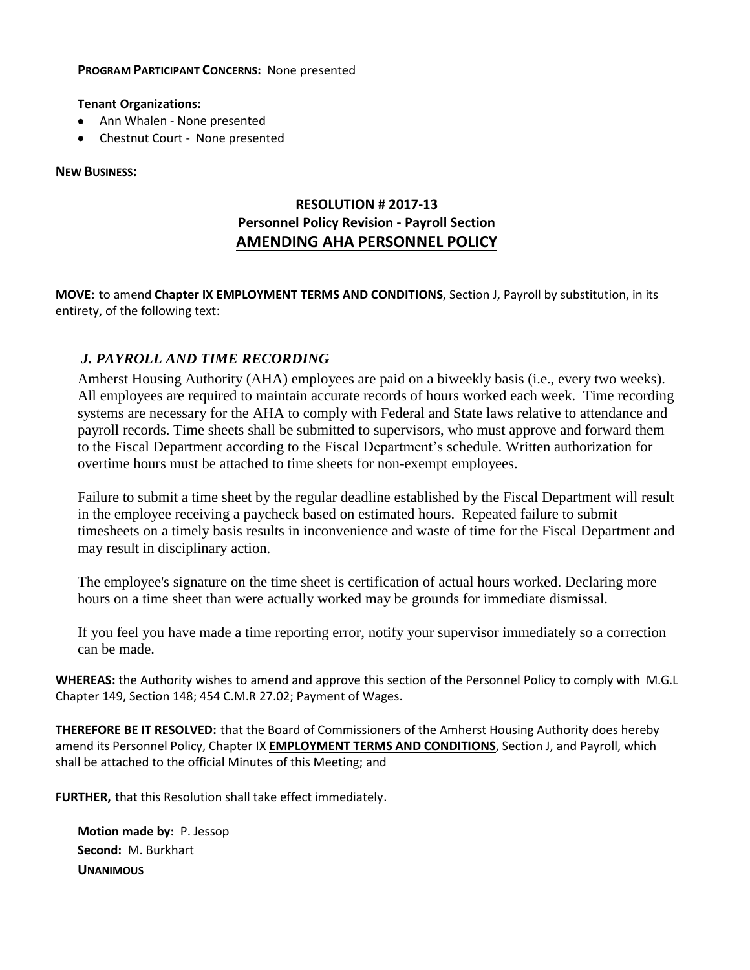#### **PROGRAM PARTICIPANT CONCERNS:** None presented

#### **Tenant Organizations:**

- Ann Whalen None presented
- Chestnut Court None presented

#### **NEW BUSINESS:**

# **RESOLUTION # 2017-13 Personnel Policy Revision - Payroll Section AMENDING AHA PERSONNEL POLICY**

**MOVE:** to amend **Chapter IX EMPLOYMENT TERMS AND CONDITIONS**, Section J, Payroll by substitution, in its entirety, of the following text:

# *J. PAYROLL AND TIME RECORDING*

Amherst Housing Authority (AHA) employees are paid on a biweekly basis (i.e., every two weeks). All employees are required to maintain accurate records of hours worked each week. Time recording systems are necessary for the AHA to comply with Federal and State laws relative to attendance and payroll records. Time sheets shall be submitted to supervisors, who must approve and forward them to the Fiscal Department according to the Fiscal Department's schedule. Written authorization for overtime hours must be attached to time sheets for non-exempt employees.

Failure to submit a time sheet by the regular deadline established by the Fiscal Department will result in the employee receiving a paycheck based on estimated hours. Repeated failure to submit timesheets on a timely basis results in inconvenience and waste of time for the Fiscal Department and may result in disciplinary action.

The employee's signature on the time sheet is certification of actual hours worked. Declaring more hours on a time sheet than were actually worked may be grounds for immediate dismissal.

If you feel you have made a time reporting error, notify your supervisor immediately so a correction can be made.

**WHEREAS:** the Authority wishes to amend and approve this section of the Personnel Policy to comply with M.G.L Chapter 149, Section 148; 454 C.M.R 27.02; Payment of Wages.

**THEREFORE BE IT RESOLVED:** that the Board of Commissioners of the Amherst Housing Authority does hereby amend its Personnel Policy, Chapter IX **EMPLOYMENT TERMS AND CONDITIONS**, Section J, and Payroll, which shall be attached to the official Minutes of this Meeting; and

**FURTHER,** that this Resolution shall take effect immediately.

**Motion made by:** P. Jessop **Second:** M. Burkhart **UNANIMOUS**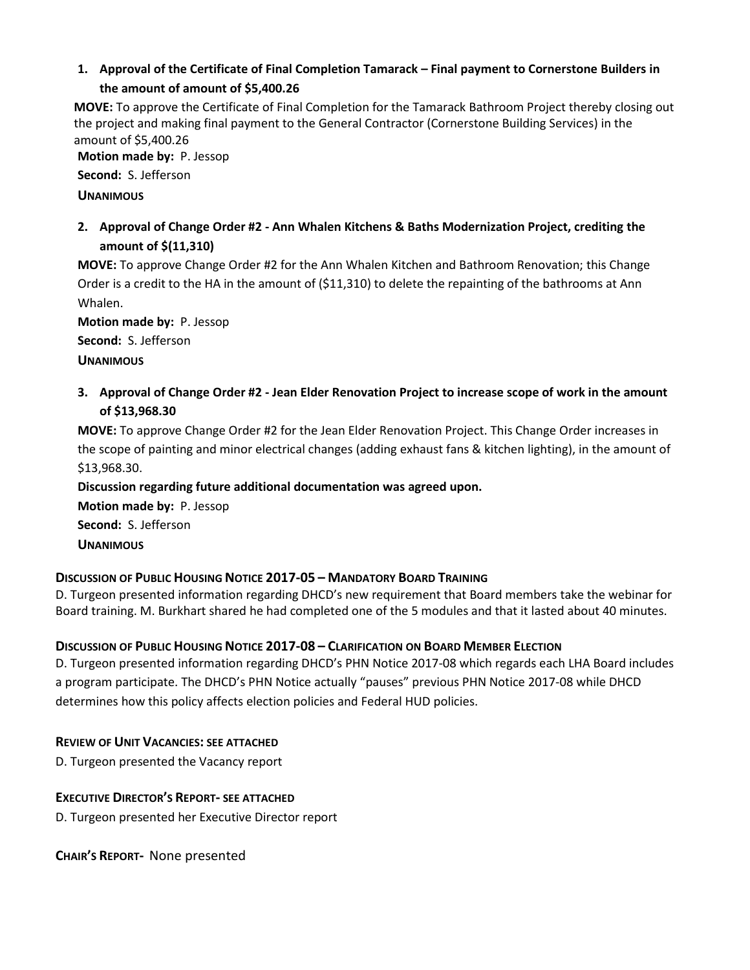# **1. Approval of the Certificate of Final Completion Tamarack – Final payment to Cornerstone Builders in the amount of amount of \$5,400.26**

**MOVE:** To approve the Certificate of Final Completion for the Tamarack Bathroom Project thereby closing out the project and making final payment to the General Contractor (Cornerstone Building Services) in the amount of \$5,400.26

**Motion made by:** P. Jessop

**Second:** S. Jefferson

### **UNANIMOUS**

**2. Approval of Change Order #2 - Ann Whalen Kitchens & Baths Modernization Project, crediting the amount of \$(11,310)**

**MOVE:** To approve Change Order #2 for the Ann Whalen Kitchen and Bathroom Renovation; this Change Order is a credit to the HA in the amount of (\$11,310) to delete the repainting of the bathrooms at Ann Whalen.

**Motion made by:** P. Jessop

**Second:** S. Jefferson

**UNANIMOUS**

3. Approval of Change Order #2 - Jean Elder Renovation Project to increase scope of work in the amount **of \$13,968.30**

**MOVE:** To approve Change Order #2 for the Jean Elder Renovation Project. This Change Order increases in the scope of painting and minor electrical changes (adding exhaust fans & kitchen lighting), in the amount of \$13,968.30.

**Discussion regarding future additional documentation was agreed upon.**

**Motion made by:** P. Jessop **Second:** S. Jefferson **UNANIMOUS**

## **DISCUSSION OF PUBLIC HOUSING NOTICE 2017-05 – MANDATORY BOARD TRAINING**

D. Turgeon presented information regarding DHCD's new requirement that Board members take the webinar for Board training. M. Burkhart shared he had completed one of the 5 modules and that it lasted about 40 minutes.

# **DISCUSSION OF PUBLIC HOUSING NOTICE 2017-08 – CLARIFICATION ON BOARD MEMBER ELECTION**

D. Turgeon presented information regarding DHCD's PHN Notice 2017-08 which regards each LHA Board includes a program participate. The DHCD's PHN Notice actually "pauses" previous PHN Notice 2017-08 while DHCD determines how this policy affects election policies and Federal HUD policies.

# **REVIEW OF UNIT VACANCIES: SEE ATTACHED**

D. Turgeon presented the Vacancy report

## **EXECUTIVE DIRECTOR'S REPORT- SEE ATTACHED**

D. Turgeon presented her Executive Director report

**CHAIR'S REPORT-** None presented